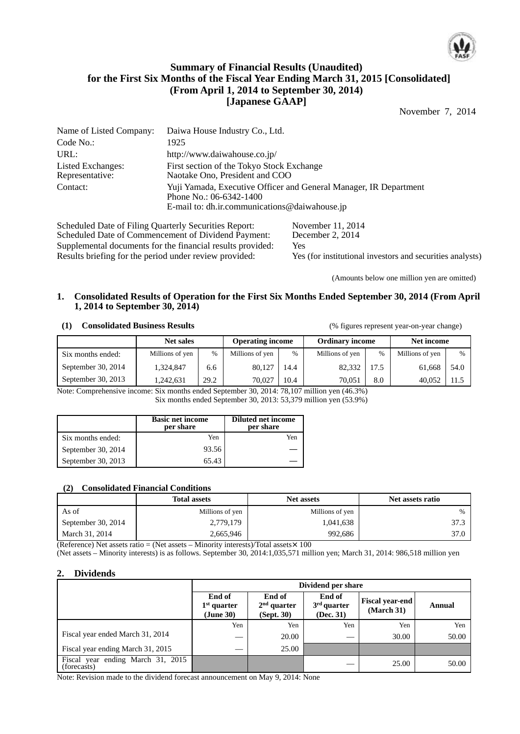

# **Summary of Financial Results (Unaudited) for the First Six Months of the Fiscal Year Ending March 31, 2015 [Consolidated] (From April 1, 2014 to September 30, 2014) [Japanese GAAP]**

November 7, 2014

| Name of Listed Company:              | Daiwa House Industry Co., Ltd.                                                                                                                |
|--------------------------------------|-----------------------------------------------------------------------------------------------------------------------------------------------|
| Code No.:                            | 1925                                                                                                                                          |
| URL:                                 | http://www.daiwahouse.co.jp/                                                                                                                  |
| Listed Exchanges:<br>Representative: | First section of the Tokyo Stock Exchange<br>Naotake Ono, President and COO                                                                   |
| Contact:                             | Yuji Yamada, Executive Officer and General Manager, IR Department<br>Phone No.: 06-6342-1400<br>E-mail to: dh.ir.communications@daiwahouse.jp |

Scheduled Date of Filing Quarterly Securities Report: November 11, 2014<br>Scheduled Date of Commencement of Dividend Payment: December 2, 2014 Scheduled Date of Commencement of Dividend Payment: Supplemental documents for the financial results provided: Yes Results briefing for the period under review provided: Yes (for institutional investors and securities analysts)

(Amounts below one million yen are omitted)

### **1. Consolidated Results of Operation for the First Six Months Ended September 30, 2014 (From April 1, 2014 to September 30, 2014)**

### **(1) Consolidated Business Results** (% figures represent year-on-year change)

|                    | <b>Net sales</b> |      | <b>Operating income</b> |               | <b>Ordinary income</b> |      | Net income      |               |
|--------------------|------------------|------|-------------------------|---------------|------------------------|------|-----------------|---------------|
| Six months ended:  | Millions of yen  | $\%$ | Millions of yen         | $\frac{0}{0}$ | Millions of yen        | $\%$ | Millions of yen | $\frac{0}{0}$ |
| September 30, 2014 | 1,324,847        | 6.6  | 80,127                  | 14.4          | 82,332                 | 17.5 | 61,668          | 54.0          |
| September 30, 2013 | 1.242.631        | 29.2 | 70.027                  | 10.4          | 70.051                 | 8.0  | 40.052          | 11.5          |

Note: Comprehensive income: Six months ended September 30, 2014: 78,107 million yen (46.3%) Six months ended September 30, 2013: 53,379 million yen (53.9%)

|                    | <b>Basic net income</b><br>per share | <b>Diluted net income</b><br>per share |
|--------------------|--------------------------------------|----------------------------------------|
| Six months ended:  | Yen                                  | Yen                                    |
| September 30, 2014 | 93.56                                |                                        |
| September 30, 2013 | 65.43                                |                                        |

## **(2) Consolidated Financial Conditions**

|                    | <b>Total assets</b> | <b>Net assets</b> | Net assets ratio |
|--------------------|---------------------|-------------------|------------------|
| As of              | Millions of yen     | Millions of yen   | $\%$             |
| September 30, 2014 | 2,779,179           | 1,041,638         | 37.3             |
| March 31, 2014     | 2,665,946           | 992,686           | 37.0             |

(Reference) Net assets ratio = (Net assets – Minority interests)/Total assets $\times$  100

(Net assets – Minority interests) is as follows. September 30, 2014:1,035,571 million yen; March 31, 2014: 986,518 million yen

## **2. Dividends**

|                                                  |                                      | Dividend per share                    |                                      |                                    |        |  |  |  |
|--------------------------------------------------|--------------------------------------|---------------------------------------|--------------------------------------|------------------------------------|--------|--|--|--|
|                                                  | End of<br>$1st$ quarter<br>(June 30) | End of<br>$2nd$ quarter<br>(Sept. 30) | End of<br>$3rd$ quarter<br>(Dec. 31) | <b>Fiscal year-end</b><br>March 31 | Annual |  |  |  |
|                                                  | Yen                                  | Yen                                   | Yen                                  | Yen                                | Yen    |  |  |  |
| Fiscal year ended March 31, 2014                 |                                      | 20.00                                 |                                      | 30.00                              | 50.00  |  |  |  |
| Fiscal year ending March 31, 2015                |                                      | 25.00                                 |                                      |                                    |        |  |  |  |
| Fiscal year ending March 31, 2015<br>(forecasts) |                                      |                                       |                                      | 25.00                              | 50.00  |  |  |  |

Note: Revision made to the dividend forecast announcement on May 9, 2014: None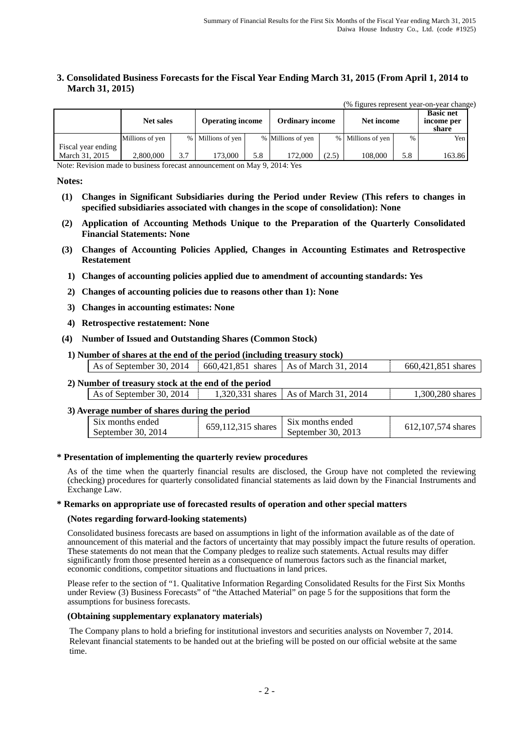## **3. Consolidated Business Forecasts for the Fiscal Year Ending March 31, 2015 (From April 1, 2014 to March 31, 2015)**

|                                      |                  |     |                         |     |                        |       |                   |      | (% figures represent year-on-year change) |
|--------------------------------------|------------------|-----|-------------------------|-----|------------------------|-------|-------------------|------|-------------------------------------------|
|                                      | <b>Net sales</b> |     | <b>Operating income</b> |     | <b>Ordinary income</b> |       | Net income        |      | <b>Basic net</b><br>income per<br>share   |
|                                      | Millions of yen  |     | % Millions of yen       |     | % Millions of yen      |       | % Millions of yen | $\%$ | Yen                                       |
| Fiscal year ending<br>March 31, 2015 | 2,800,000        | 3.7 | 173,000                 | 5.8 | 172,000                | (2.5) | 108,000           | 5.8  | 163.86                                    |

Note: Revision made to business forecast announcement on May 9, 2014: Yes

#### **Notes:**

- **(1) Changes in Significant Subsidiaries during the Period under Review (This refers to changes in specified subsidiaries associated with changes in the scope of consolidation): None**
- **(2) Application of Accounting Methods Unique to the Preparation of the Quarterly Consolidated Financial Statements: None**
- **(3) Changes of Accounting Policies Applied, Changes in Accounting Estimates and Retrospective Restatement**
	- **1) Changes of accounting policies applied due to amendment of accounting standards: Yes**
	- **2) Changes of accounting policies due to reasons other than 1): None**
	- **3) Changes in accounting estimates: None**
	- **4) Retrospective restatement: None**
- **(4) Number of Issued and Outstanding Shares (Common Stock)**
	- **1) Number of shares at the end of the period (including treasury stock)**

| As of September 30, 2014   $660,421,851$ shares   As of March 31, 2014 |  | 660,421,851 shares |
|------------------------------------------------------------------------|--|--------------------|
|                                                                        |  |                    |

# **2) Number of treasury stock at the end of the period**

|  | As of September 30, 2014 |  | 1,320,331 shares   As of March 31, 2014 | 1,300,280 shares |
|--|--------------------------|--|-----------------------------------------|------------------|
|--|--------------------------|--|-----------------------------------------|------------------|

#### **3) Average number of shares during the period**

| $\sim$<br>S <sub>1</sub> x months ended<br>S <sub>1X</sub> months ended<br>.107.574 shares<br>650.<br>shares<br>315<br>014<br>September 30, 2013<br>September 30, 2014 |  |
|------------------------------------------------------------------------------------------------------------------------------------------------------------------------|--|
|------------------------------------------------------------------------------------------------------------------------------------------------------------------------|--|

#### **\* Presentation of implementing the quarterly review procedures**

As of the time when the quarterly financial results are disclosed, the Group have not completed the reviewing (checking) procedures for quarterly consolidated financial statements as laid down by the Financial Instruments and Exchange Law.

#### **\* Remarks on appropriate use of forecasted results of operation and other special matters**

#### **(Notes regarding forward-looking statements)**

Consolidated business forecasts are based on assumptions in light of the information available as of the date of announcement of this material and the factors of uncertainty that may possibly impact the future results of operation. These statements do not mean that the Company pledges to realize such statements. Actual results may differ significantly from those presented herein as a consequence of numerous factors such as the financial market, economic conditions, competitor situations and fluctuations in land prices.

Please refer to the section of "1. Qualitative Information Regarding Consolidated Results for the First Six Months under Review (3) Business Forecasts" of "the Attached Material" on page 5 for the suppositions that form the assumptions for business forecasts.

#### **(Obtaining supplementary explanatory materials)**

The Company plans to hold a briefing for institutional investors and securities analysts on November 7, 2014. Relevant financial statements to be handed out at the briefing will be posted on our official website at the same time.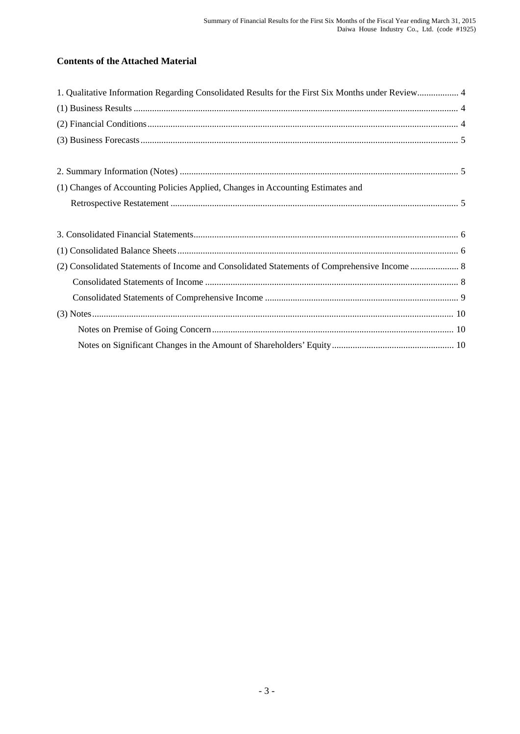# **Contents of the Attached Material**

| 1. Qualitative Information Regarding Consolidated Results for the First Six Months under Review 4 |  |
|---------------------------------------------------------------------------------------------------|--|
|                                                                                                   |  |
|                                                                                                   |  |
|                                                                                                   |  |
|                                                                                                   |  |
|                                                                                                   |  |
| (1) Changes of Accounting Policies Applied, Changes in Accounting Estimates and                   |  |
|                                                                                                   |  |
|                                                                                                   |  |
|                                                                                                   |  |
|                                                                                                   |  |
|                                                                                                   |  |
| (2) Consolidated Statements of Income and Consolidated Statements of Comprehensive Income  8      |  |
|                                                                                                   |  |
|                                                                                                   |  |
|                                                                                                   |  |
|                                                                                                   |  |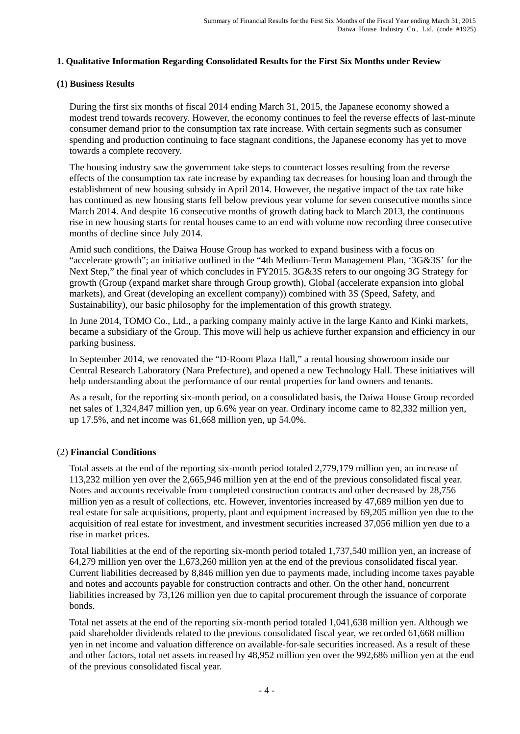## **1. Qualitative Information Regarding Consolidated Results for the First Six Months under Review**

## **(1) Business Results**

During the first six months of fiscal 2014 ending March 31, 2015, the Japanese economy showed a modest trend towards recovery. However, the economy continues to feel the reverse effects of last-minute consumer demand prior to the consumption tax rate increase. With certain segments such as consumer spending and production continuing to face stagnant conditions, the Japanese economy has yet to move towards a complete recovery.

The housing industry saw the government take steps to counteract losses resulting from the reverse effects of the consumption tax rate increase by expanding tax decreases for housing loan and through the establishment of new housing subsidy in April 2014. However, the negative impact of the tax rate hike has continued as new housing starts fell below previous year volume for seven consecutive months since March 2014. And despite 16 consecutive months of growth dating back to March 2013, the continuous rise in new housing starts for rental houses came to an end with volume now recording three consecutive months of decline since July 2014.

Amid such conditions, the Daiwa House Group has worked to expand business with a focus on "accelerate growth"; an initiative outlined in the "4th Medium-Term Management Plan, '3G&3S' for the Next Step," the final year of which concludes in FY2015. 3G&3S refers to our ongoing 3G Strategy for growth (Group (expand market share through Group growth), Global (accelerate expansion into global markets), and Great (developing an excellent company)) combined with 3S (Speed, Safety, and Sustainability), our basic philosophy for the implementation of this growth strategy.

In June 2014, TOMO Co., Ltd., a parking company mainly active in the large Kanto and Kinki markets, became a subsidiary of the Group. This move will help us achieve further expansion and efficiency in our parking business.

In September 2014, we renovated the "D-Room Plaza Hall," a rental housing showroom inside our Central Research Laboratory (Nara Prefecture), and opened a new Technology Hall. These initiatives will help understanding about the performance of our rental properties for land owners and tenants.

As a result, for the reporting six-month period, on a consolidated basis, the Daiwa House Group recorded net sales of 1,324,847 million yen, up 6.6% year on year. Ordinary income came to 82,332 million yen, up 17.5%, and net income was 61,668 million yen, up 54.0%.

# (2) **Financial Conditions**

Total assets at the end of the reporting six-month period totaled 2,779,179 million yen, an increase of 113,232 million yen over the 2,665,946 million yen at the end of the previous consolidated fiscal year. Notes and accounts receivable from completed construction contracts and other decreased by 28,756 million yen as a result of collections, etc. However, inventories increased by 47,689 million yen due to real estate for sale acquisitions, property, plant and equipment increased by 69,205 million yen due to the acquisition of real estate for investment, and investment securities increased 37,056 million yen due to a rise in market prices.

Total liabilities at the end of the reporting six-month period totaled 1,737,540 million yen, an increase of 64,279 million yen over the 1,673,260 million yen at the end of the previous consolidated fiscal year. Current liabilities decreased by 8,846 million yen due to payments made, including income taxes payable and notes and accounts payable for construction contracts and other. On the other hand, noncurrent liabilities increased by 73,126 million yen due to capital procurement through the issuance of corporate bonds.

Total net assets at the end of the reporting six-month period totaled 1,041,638 million yen. Although we paid shareholder dividends related to the previous consolidated fiscal year, we recorded 61,668 million yen in net income and valuation difference on available-for-sale securities increased. As a result of these and other factors, total net assets increased by 48,952 million yen over the 992,686 million yen at the end of the previous consolidated fiscal year.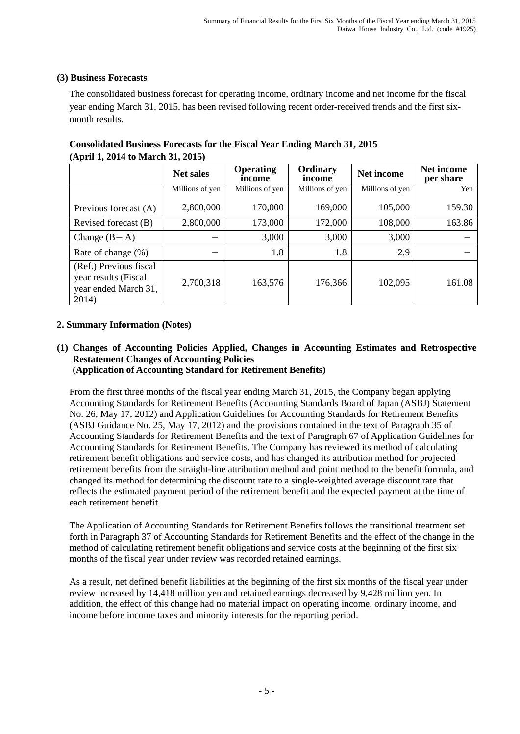# **(3) Business Forecasts**

The consolidated business forecast for operating income, ordinary income and net income for the fiscal year ending March 31, 2015, has been revised following recent order-received trends and the first sixmonth results.

| $(1)$ prints, 2017 to march 31, 2013)                                           |                  |                            |                    |                 |                                |
|---------------------------------------------------------------------------------|------------------|----------------------------|--------------------|-----------------|--------------------------------|
|                                                                                 | <b>Net sales</b> | <b>Operating</b><br>income | Ordinary<br>income | Net income      | <b>Net income</b><br>per share |
|                                                                                 | Millions of yen  | Millions of yen            | Millions of yen    | Millions of yen | Yen                            |
| Previous forecast (A)                                                           | 2,800,000        | 170,000                    | 169,000            | 105,000         | 159.30                         |
| Revised forecast (B)                                                            | 2,800,000        | 173,000                    | 172,000            | 108,000         | 163.86                         |
| Change $(B)$<br>A)                                                              |                  | 3,000                      | 3,000              | 3,000           |                                |
| Rate of change (%)                                                              |                  | 1.8                        | 1.8                | 2.9             |                                |
| (Ref.) Previous fiscal<br>year results (Fiscal<br>year ended March 31,<br>2014) | 2,700,318        | 163,576                    | 176,366            | 102,095         | 161.08                         |

# **Consolidated Business Forecasts for the Fiscal Year Ending March 31, 2015 (April 1, 2014 to March 31, 2015)**

# **2. Summary Information (Notes)**

## **(1) Changes of Accounting Policies Applied, Changes in Accounting Estimates and Retrospective Restatement Changes of Accounting Policies (Application of Accounting Standard for Retirement Benefits)**

From the first three months of the fiscal year ending March 31, 2015, the Company began applying Accounting Standards for Retirement Benefits (Accounting Standards Board of Japan (ASBJ) Statement No. 26, May 17, 2012) and Application Guidelines for Accounting Standards for Retirement Benefits (ASBJ Guidance No. 25, May 17, 2012) and the provisions contained in the text of Paragraph 35 of Accounting Standards for Retirement Benefits and the text of Paragraph 67 of Application Guidelines for Accounting Standards for Retirement Benefits. The Company has reviewed its method of calculating retirement benefit obligations and service costs, and has changed its attribution method for projected retirement benefits from the straight-line attribution method and point method to the benefit formula, and changed its method for determining the discount rate to a single-weighted average discount rate that reflects the estimated payment period of the retirement benefit and the expected payment at the time of each retirement benefit.

The Application of Accounting Standards for Retirement Benefits follows the transitional treatment set forth in Paragraph 37 of Accounting Standards for Retirement Benefits and the effect of the change in the method of calculating retirement benefit obligations and service costs at the beginning of the first six months of the fiscal year under review was recorded retained earnings.

As a result, net defined benefit liabilities at the beginning of the first six months of the fiscal year under review increased by 14,418 million yen and retained earnings decreased by 9,428 million yen. In addition, the effect of this change had no material impact on operating income, ordinary income, and income before income taxes and minority interests for the reporting period.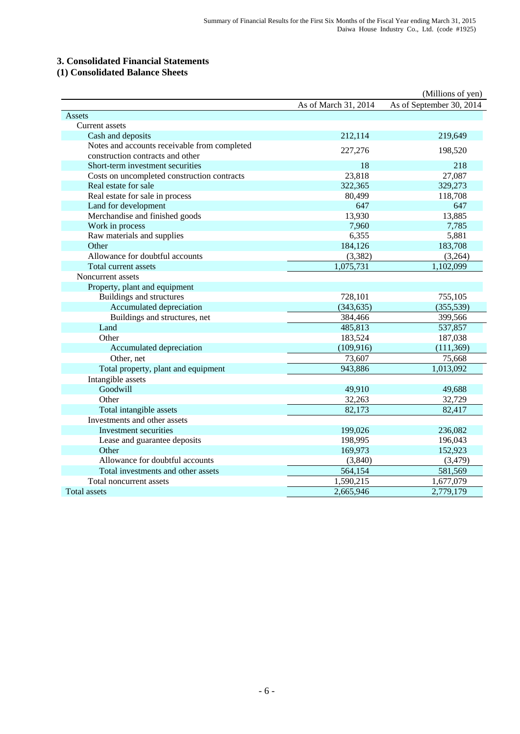## **3. Consolidated Financial Statements**

## **(1) Consolidated Balance Sheets**

|                                              |                      | (Millions of yen)        |
|----------------------------------------------|----------------------|--------------------------|
|                                              | As of March 31, 2014 | As of September 30, 2014 |
| Assets                                       |                      |                          |
| Current assets                               |                      |                          |
| Cash and deposits                            | 212,114              | 219,649                  |
| Notes and accounts receivable from completed | 227,276              | 198,520                  |
| construction contracts and other             |                      |                          |
| Short-term investment securities             | 18                   | 218                      |
| Costs on uncompleted construction contracts  | 23,818               | 27,087                   |
| Real estate for sale                         | 322,365              | 329,273                  |
| Real estate for sale in process              | 80,499               | 118,708                  |
| Land for development                         | 647                  | 647                      |
| Merchandise and finished goods               | 13,930               | 13,885                   |
| Work in process                              | 7,960                | 7,785                    |
| Raw materials and supplies                   | 6,355                | 5,881                    |
| Other                                        | 184,126              | 183,708                  |
| Allowance for doubtful accounts              | (3, 382)             | (3,264)                  |
| Total current assets                         | 1,075,731            | 1,102,099                |
| Noncurrent assets                            |                      |                          |
| Property, plant and equipment                |                      |                          |
| Buildings and structures                     | 728,101              | 755,105                  |
| Accumulated depreciation                     | (343, 635)           | (355, 539)               |
| Buildings and structures, net                | 384,466              | 399,566                  |
| Land                                         | 485,813              | 537,857                  |
| Other                                        | 183,524              | 187,038                  |
| Accumulated depreciation                     | (109, 916)           | (111, 369)               |
| Other, net                                   | 73,607               | 75,668                   |
| Total property, plant and equipment          | 943,886              | 1,013,092                |
| Intangible assets                            |                      |                          |
| Goodwill                                     | 49,910               | 49,688                   |
| Other                                        | 32,263               | 32,729                   |
| Total intangible assets                      | 82,173               | 82,417                   |
| Investments and other assets                 |                      |                          |
| Investment securities                        | 199,026              | 236,082                  |
| Lease and guarantee deposits                 | 198,995              | 196,043                  |
| Other                                        | 169,973              | 152,923                  |
| Allowance for doubtful accounts              | (3,840)              | (3, 479)                 |
| Total investments and other assets           | 564,154              | 581,569                  |
| Total noncurrent assets                      | 1,590,215            | 1,677,079                |
| <b>Total assets</b>                          | 2,665,946            | 2,779,179                |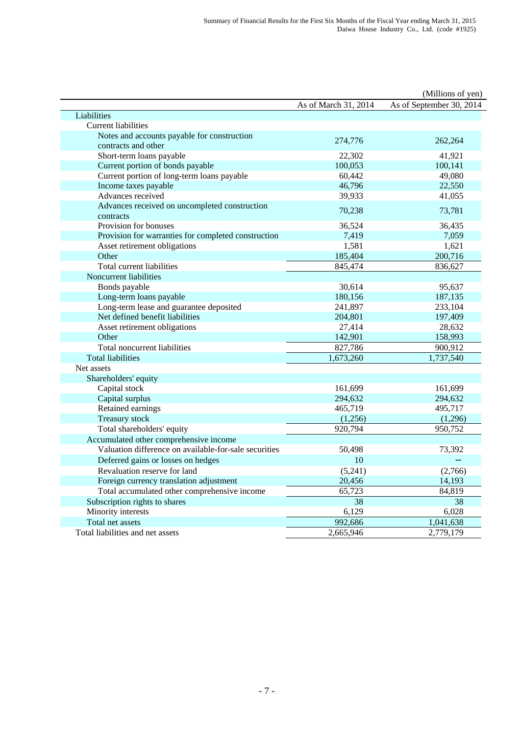|                                                       |                      | (Millions of yen)        |
|-------------------------------------------------------|----------------------|--------------------------|
|                                                       | As of March 31, 2014 | As of September 30, 2014 |
| Liabilities                                           |                      |                          |
| <b>Current liabilities</b>                            |                      |                          |
| Notes and accounts payable for construction           | 274,776              | 262,264                  |
| contracts and other                                   |                      |                          |
| Short-term loans payable                              | 22,302               | 41,921                   |
| Current portion of bonds payable                      | 100,053              | 100,141                  |
| Current portion of long-term loans payable            | 60,442               | 49,080                   |
| Income taxes payable                                  | 46,796               | 22,550                   |
| Advances received                                     | 39,933               | 41,055                   |
| Advances received on uncompleted construction         | 70,238               | 73,781                   |
| contracts                                             |                      |                          |
| Provision for bonuses                                 | 36,524               | 36,435                   |
| Provision for warranties for completed construction   | 7,419                | 7,059                    |
| Asset retirement obligations                          | 1,581                | 1,621                    |
| Other                                                 | 185,404              | 200,716                  |
| Total current liabilities                             | 845,474              | 836,627                  |
| Noncurrent liabilities                                |                      |                          |
| Bonds payable                                         | 30,614               | 95,637                   |
| Long-term loans payable                               | 180,156              | 187,135                  |
| Long-term lease and guarantee deposited               | 241,897              | 233,104                  |
| Net defined benefit liabilities                       | 204,801              | 197,409                  |
| Asset retirement obligations                          | 27,414               | 28,632                   |
| Other                                                 | 142,901              | 158,993                  |
| Total noncurrent liabilities                          | 827,786              | 900,912                  |
| <b>Total liabilities</b>                              | 1,673,260            | 1,737,540                |
| Net assets                                            |                      |                          |
| Shareholders' equity                                  |                      |                          |
| Capital stock                                         | 161,699              | 161,699                  |
| Capital surplus                                       | 294,632              | 294,632                  |
| Retained earnings                                     | 465,719              | 495,717                  |
| <b>Treasury stock</b>                                 | (1,256)              | (1,296)                  |
| Total shareholders' equity                            | 920,794              | 950,752                  |
| Accumulated other comprehensive income                |                      |                          |
| Valuation difference on available-for-sale securities | 50,498               | 73,392                   |
| Deferred gains or losses on hedges                    | 10                   |                          |
| Revaluation reserve for land                          | (5,241)              | (2,766)                  |
| Foreign currency translation adjustment               | 20,456               | 14,193                   |
| Total accumulated other comprehensive income          | 65,723               | 84,819                   |
| Subscription rights to shares                         | 38                   | 38                       |
| Minority interests                                    | 6,129                | 6,028                    |
| Total net assets                                      | 992,686              | 1,041,638                |
| Total liabilities and net assets                      | 2,665,946            | 2,779,179                |
|                                                       |                      |                          |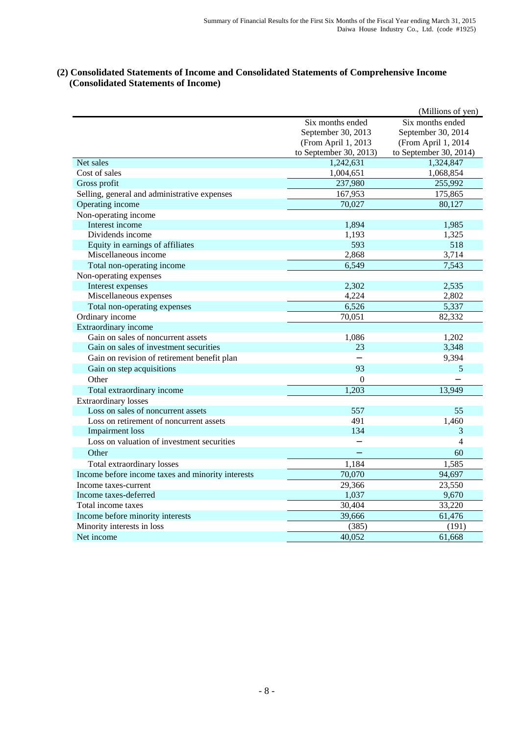### **(2) Consolidated Statements of Income and Consolidated Statements of Comprehensive Income (Consolidated Statements of Income)**

|                                                   |                        | (Millions of yen)      |
|---------------------------------------------------|------------------------|------------------------|
|                                                   | Six months ended       | Six months ended       |
|                                                   | September 30, 2013     | September 30, 2014     |
|                                                   | (From April 1, 2013    | (From April 1, 2014    |
|                                                   | to September 30, 2013) | to September 30, 2014) |
| Net sales                                         | 1,242,631              | 1,324,847              |
| Cost of sales                                     | 1,004,651              | 1,068,854              |
| Gross profit                                      | 237,980                | 255,992                |
| Selling, general and administrative expenses      | 167,953                | 175,865                |
| Operating income                                  | 70,027                 | 80,127                 |
| Non-operating income                              |                        |                        |
| Interest income                                   | 1,894                  | 1,985                  |
| Dividends income                                  | 1,193                  | 1,325                  |
| Equity in earnings of affiliates                  | 593                    | 518                    |
| Miscellaneous income                              | 2,868                  | 3,714                  |
| Total non-operating income                        | 6,549                  | 7,543                  |
| Non-operating expenses                            |                        |                        |
| Interest expenses                                 | 2,302                  | 2,535                  |
| Miscellaneous expenses                            | 4,224                  | 2,802                  |
| Total non-operating expenses                      | 6,526                  | 5,337                  |
| Ordinary income                                   | 70,051                 | 82,332                 |
| Extraordinary income                              |                        |                        |
| Gain on sales of noncurrent assets                | 1,086                  | 1,202                  |
| Gain on sales of investment securities            | 23                     | 3,348                  |
| Gain on revision of retirement benefit plan       |                        | 9,394                  |
| Gain on step acquisitions                         | 93                     | 5                      |
| Other                                             | $\boldsymbol{0}$       |                        |
| Total extraordinary income                        | 1,203                  | 13,949                 |
| <b>Extraordinary losses</b>                       |                        |                        |
| Loss on sales of noncurrent assets                | 557                    | 55                     |
| Loss on retirement of noncurrent assets           | 491                    | 1,460                  |
| <b>Impairment</b> loss                            | 134                    | 3                      |
| Loss on valuation of investment securities        |                        | 4                      |
| Other                                             |                        | 60                     |
| Total extraordinary losses                        | 1,184                  | 1,585                  |
| Income before income taxes and minority interests | 70,070                 | 94,697                 |
| Income taxes-current                              | 29,366                 | 23,550                 |
| Income taxes-deferred                             | 1,037                  | 9,670                  |
| Total income taxes                                | 30,404                 | 33,220                 |
| Income before minority interests                  | 39,666                 | 61,476                 |
| Minority interests in loss                        | (385)                  | (191)                  |
| Net income                                        | 40,052                 | 61,668                 |
|                                                   |                        |                        |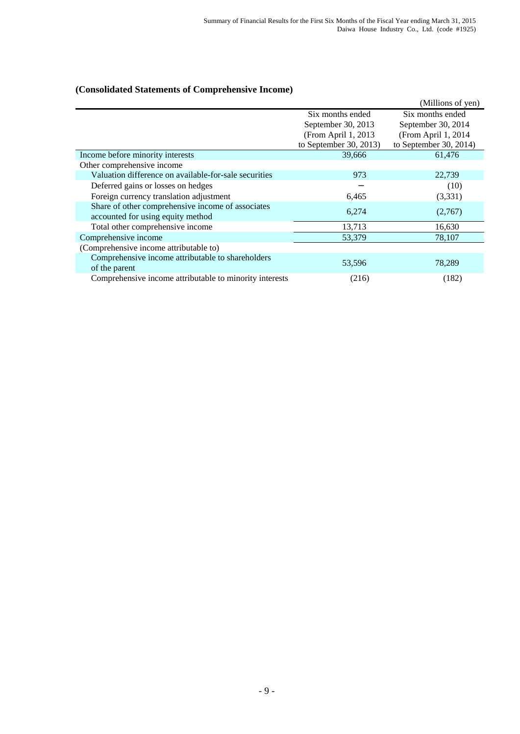# **(Consolidated Statements of Comprehensive Income)**

|                                                                                        |                        | (Millions of yen)      |
|----------------------------------------------------------------------------------------|------------------------|------------------------|
|                                                                                        | Six months ended       | Six months ended       |
|                                                                                        | September 30, 2013     | September 30, 2014     |
|                                                                                        | (From April 1, 2013    | (From April 1, 2014    |
|                                                                                        | to September 30, 2013) | to September 30, 2014) |
| Income before minority interests                                                       | 39,666                 | 61,476                 |
| Other comprehensive income                                                             |                        |                        |
| Valuation difference on available-for-sale securities                                  | 973                    | 22,739                 |
| Deferred gains or losses on hedges                                                     |                        | (10)                   |
| Foreign currency translation adjustment                                                | 6,465                  | (3,331)                |
| Share of other comprehensive income of associates<br>accounted for using equity method | 6,274                  | (2,767)                |
| Total other comprehensive income                                                       | 13,713                 | 16,630                 |
| Comprehensive income                                                                   | 53,379                 | 78,107                 |
| (Comprehensive income attributable to)                                                 |                        |                        |
| Comprehensive income attributable to shareholders<br>of the parent                     | 53,596                 | 78,289                 |
| Comprehensive income attributable to minority interests                                | (216)                  | (182)                  |